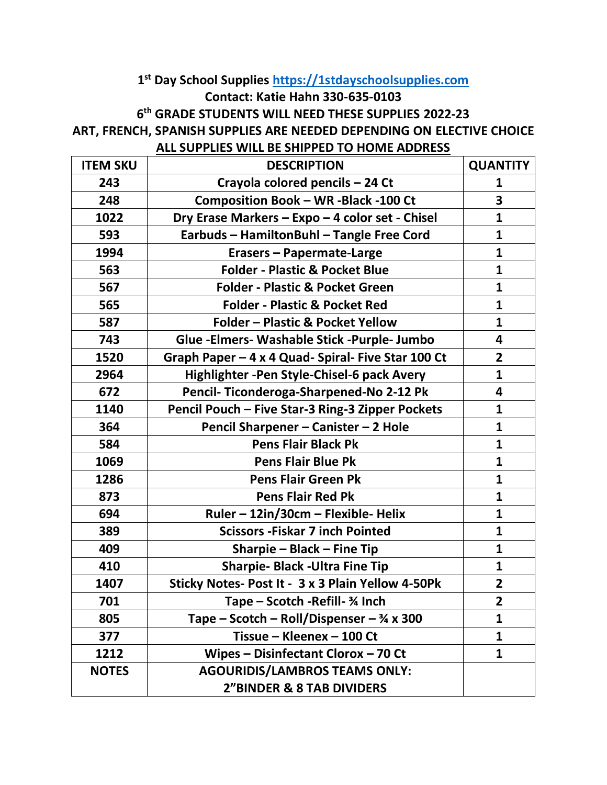## **st Day School Supplies [https://1stdayschoolsupplies.com](https://1stdayschoolsupplies.com/) Contact: Katie Hahn 330-635-0103**

**th GRADE STUDENTS WILL NEED THESE SUPPLIES 2022-23**

## **ART, FRENCH, SPANISH SUPPLIES ARE NEEDED DEPENDING ON ELECTIVE CHOICE**

## **ALL SUPPLIES WILL BE SHIPPED TO HOME ADDRESS**

| <b>ITEM SKU</b> | <b>DESCRIPTION</b>                                   | <b>QUANTITY</b>         |
|-----------------|------------------------------------------------------|-------------------------|
| 243             | Crayola colored pencils - 24 Ct                      | 1                       |
| 248             | Composition Book - WR -Black -100 Ct                 | 3                       |
| 1022            | Dry Erase Markers - Expo - 4 color set - Chisel      | $\mathbf{1}$            |
| 593             | Earbuds - HamiltonBuhl - Tangle Free Cord            | $\mathbf{1}$            |
| 1994            | Erasers - Papermate-Large                            | $\mathbf{1}$            |
| 563             | <b>Folder - Plastic &amp; Pocket Blue</b>            | $\mathbf{1}$            |
| 567             | <b>Folder - Plastic &amp; Pocket Green</b>           | $\mathbf{1}$            |
| 565             | <b>Folder - Plastic &amp; Pocket Red</b>             | $\mathbf{1}$            |
| 587             | <b>Folder - Plastic &amp; Pocket Yellow</b>          | $\mathbf{1}$            |
| 743             | Glue - Elmers - Washable Stick - Purple - Jumbo      | 4                       |
| 1520            | Graph Paper - 4 x 4 Quad- Spiral- Five Star 100 Ct   | 2 <sup>1</sup>          |
| 2964            | Highlighter - Pen Style-Chisel-6 pack Avery          | $\mathbf{1}$            |
| 672             | Pencil-Ticonderoga-Sharpened-No 2-12 Pk              | 4                       |
| 1140            | Pencil Pouch - Five Star-3 Ring-3 Zipper Pockets     | 1                       |
| 364             | Pencil Sharpener - Canister - 2 Hole                 | $\mathbf{1}$            |
| 584             | <b>Pens Flair Black Pk</b>                           | $\mathbf{1}$            |
| 1069            | <b>Pens Flair Blue Pk</b>                            | $\mathbf{1}$            |
| 1286            | <b>Pens Flair Green Pk</b>                           | $\mathbf{1}$            |
| 873             | <b>Pens Flair Red Pk</b>                             | $\mathbf{1}$            |
| 694             | Ruler – 12in/30cm – Flexible- Helix                  | $\mathbf{1}$            |
| 389             | <b>Scissors - Fiskar 7 inch Pointed</b>              | $\mathbf{1}$            |
| 409             | Sharpie – Black – Fine Tip                           | $\mathbf{1}$            |
| 410             | <b>Sharpie- Black - Ultra Fine Tip</b>               | $\mathbf{1}$            |
| 1407            | Sticky Notes- Post It - 3 x 3 Plain Yellow 4-50Pk    | $\overline{2}$          |
| 701             | Tape - Scotch - Refill- 3⁄4 Inch                     | $\overline{\mathbf{2}}$ |
| 805             | Tape – Scotch – Roll/Dispenser – $\frac{3}{4}$ x 300 | $\mathbf{1}$            |
| 377             | Tissue - Kleenex - 100 Ct                            | $\mathbf{1}$            |
| 1212            | Wipes - Disinfectant Clorox - 70 Ct                  | $\mathbf{1}$            |
| <b>NOTES</b>    | <b>AGOURIDIS/LAMBROS TEAMS ONLY:</b>                 |                         |
|                 | <b>2"BINDER &amp; 8 TAB DIVIDERS</b>                 |                         |